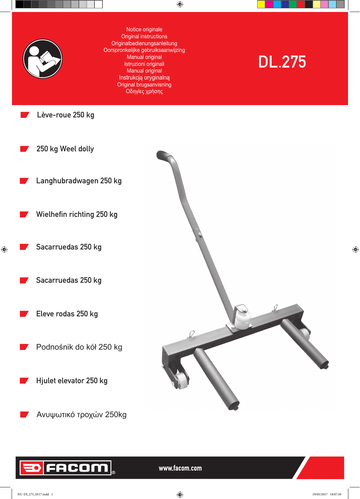

Lève-roue 250 kg

Notice originale Original instructions Originalbedienungsanleitung Oorspronkelijke gebruiksaanwijzing Manual original Istruzioni originali Manual original Instrukcją oryginalną Original brugsanvisning Οδηγίες χρήσης

 $\bigoplus$ 

# DL.275



# FACOM

www.facom.com

NU-DL.275\_0517.indd 1 19/05/2017 18:07:50

 $\bigoplus$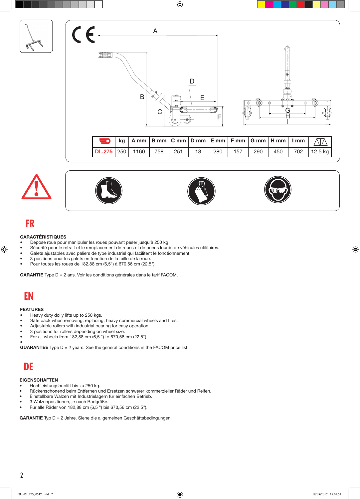









## **FR**

 $\bigoplus$ 

### CARACTÉRISTIQUES

- Depose roue pour manipuler les roues pouvant peser jusqu'à 250 kg
- Sécurité pour le retrait et le remplacement de roues et de pneus lourds de véhicules utilitaires.
- Galets ajustables avec paliers de type industriel qui facilitent le fonctionnement.
- • 3 positions pour les galets en fonction de la taille de la roue.
- Pour toutes les roues de 182,88 cm  $(6,5")$  à 670,56 cm  $(22,5")$ .

GARANTIE Type D = 2 ans. Voir les conditions générales dans le tarif FACOM.

# **EN**

### FEATURES

- Heavy duty dolly lifts up to 250 kgs.
- Safe back when removing, replacing, heavy commercial wheels and tires.
- Adjustable rollers with industrial bearing for easy operation.
- • 3 positions for rollers depending on wheel size.
- For all wheels from  $182,88$  cm  $(6,5)$  ") to  $670,56$  cm  $(22.5)$ ".

• **GUARANTEE** Type  $D = 2$  years. See the general conditions in the FACOM price list.

# **DE**

### **EIGENSCHAFTEN**

- Hochleistungshublift bis zu 250 kg.
- Rückenschonend beim Entfernen und Ersetzen schwerer kommerzieller Räder und Reifen.
- Einstellbare Walzen mit Industrielagern für einfachen Betrieb.
- 3 Walzenpositionen, je nach Radgröße.
- Für alle Räder von 182,88 cm (6,5 ") bis 670,56 cm (22.5").

GARANTIE Typ D = 2 Jahre. Siehe die allgemeinen Geschäftsbedingungen.

⊕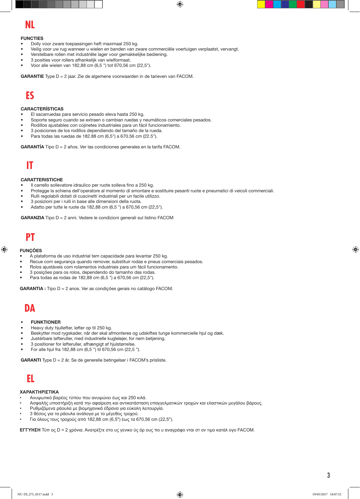$\bigoplus$ 

### **NL**

### **FUNCTIES**

- Dolly voor zware toepassingen heft maximaal 250 kg.
- Veilig voor uw rug wanneer u wielen en banden van zware commerciële voertuigen verplaatst, vervangt.
- Verstelbare rollen met industriële lager voor gemakkelijke bediening.
- 3 posities voor rollers afhankelijk van wielformaat.
- Voor alle wielen van 182,88 cm (6,5 ") tot 670,56 cm (22,5").

GARANTIE Type D = 2 jaar. Zie de algemene voorwaarden in de tarieven van FACOM.

# **ES**

### CARACTERÍSTICAS

- El sacarruedas para servicio pesado eleva hasta 250 kg.
- Soporte seguro cuando se extraen o cambian ruedas y neumáticos comerciales pesados.
- Rodillos ajustables con cojinetes industriales para un fácil funcionamiento.
- 3 posiciones de los rodillos dependiendo del tamaño de la rueda.
- Para todas las ruedas de 182.88 cm (6,5") a 670.56 cm (22.5").

GARANTÍA Tipo D = 2 años. Ver las condiciones generales en la tarifa FACOM.

### **IT**

### **CARATTERISTICHE**

- Il carrello sollevatore idraulico per ruote solleva fino a 250 kg.
- Protegge la schiena dell'operatore al momento di smontare e sostituire pesanti ruote e pneumatici di veicoli commerciali.
- Rulli regolabili dotati di cuscinetti industriali per un facile utilizzo.
- 3 posizioni per i rulli in base alle dimensioni della ruota.
- Adatto per tutte le ruote da 182,88 cm (6,5 ") a 670,56 cm (22,5").

GARANZIA Tipo D = 2 anni. Vedere le condizioni generali sul listino FACOM

# **PT**

### **FUNCÕES**

⊕

- A plataforma de uso industrial tem capacidade para levantar 250 kg.
- Recue com segurança quando remover, substituir rodas e pneus comerciais pesados.
- Rolos ajustáveis com rolamentos industriais para um fácil funcionamento.
- 3 posições para os rolos, dependendo do tamanho das rodas.
- Para todas as rodas de 182,88 cm (6,5 ") a 670,56 cm (22,5").

GARANTIA : Tipo D = 2 anos. Ver as condições gerais no catálogo FACOM.

# **DA**

#### **FUNKTIONER**

- Heavy duty hjulløfter, løfter op til 250 kg.
- Beskytter mod rygskader, når der skal afmonteres og udskiftes tunge kommercielle hjul og dæk.
- Justérbare løfteruller, med industrielle kuglelejer, for nem betjening.
- 3 positioner for løfteruller, afhængigt af hjulstørrelse.
- For alle hjul fra 182,88 cm (6,5 ") til 670,56 cm (22,5 ").

GARANTI Type D = 2 år. Se de generelle betingelser i FACOM's prisliste.

# **EL**

### **ΧΑΡΑΚΤΗΡΙΣΤΙΚΑ**

- Ανυψωτικό βαρέος τύπου που ανυψώνει έως και 250 κιλά.
- Ασφαλής υποστήριξη κατά την αφαίρεση και αντικατάσταση επαγγελματικών τροχών και ελαστικών μεγάλου βάρους.
- Ρυθμιζόμενα ράουλα με βιομηχανικά έδρανα για εύκολη λειτουργία.
- 3 θέσεις για τα ράουλα ανάλογα με το μέγεθος τροχού.
- Για όλους τους τροχούς από 182,88 cm (6,5") έως τα 670,56 cm (22,5").

**ΕΓΓΥΗΣΗ** Τύπ ος D = 2 χρόνια. Ανατρέξτε στο υς γενικο ύς όρ ους πο υ αναγράφο νται στ ον τιμο κατάλ ογο FACOM.

⊕